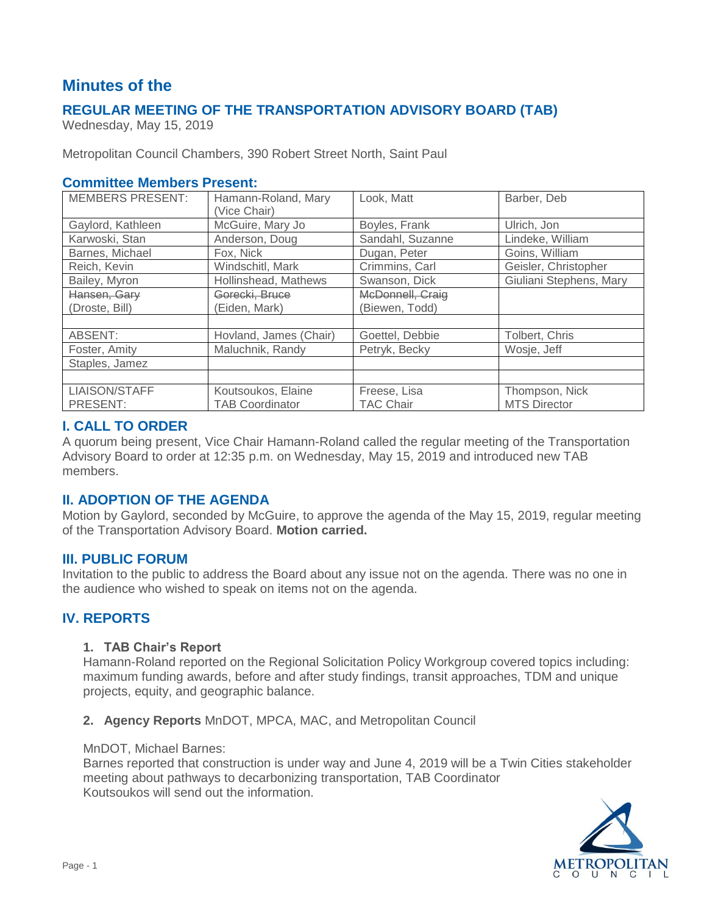# **Minutes of the**

# **REGULAR MEETING OF THE TRANSPORTATION ADVISORY BOARD (TAB)**

Wednesday, May 15, 2019

Metropolitan Council Chambers, 390 Robert Street North, Saint Paul

### **Committee Members Present:**

| <b>MEMBERS PRESENT:</b> | Hamann-Roland, Mary<br>(Vice Chair) | Look, Matt       | Barber, Deb             |
|-------------------------|-------------------------------------|------------------|-------------------------|
|                         |                                     |                  |                         |
| Gaylord, Kathleen       | McGuire, Mary Jo                    | Boyles, Frank    | Ulrich, Jon             |
| Karwoski, Stan          | Anderson, Doug                      | Sandahl, Suzanne | Lindeke, William        |
| Barnes, Michael         | Fox, Nick                           | Dugan, Peter     | Goins, William          |
| Reich, Kevin            | Windschitl, Mark                    | Crimmins, Carl   | Geisler, Christopher    |
| Bailey, Myron           | Hollinshead, Mathews                | Swanson, Dick    | Giuliani Stephens, Mary |
| Hansen, Gary            | Gorecki, Bruce                      | McDonnell, Craig |                         |
| (Droste, Bill)          | (Eiden, Mark)                       | (Biewen, Todd)   |                         |
|                         |                                     |                  |                         |
| ABSENT:                 | Hovland, James (Chair)              | Goettel, Debbie  | Tolbert, Chris          |
| Foster, Amity           | Maluchnik, Randy                    | Petryk, Becky    | Wosje, Jeff             |
| Staples, Jamez          |                                     |                  |                         |
|                         |                                     |                  |                         |
| LIAISON/STAFF           | Koutsoukos, Elaine                  | Freese, Lisa     | Thompson, Nick          |
| PRESENT:                | <b>TAB Coordinator</b>              | <b>TAC Chair</b> | <b>MTS Director</b>     |

# **I. CALL TO ORDER**

A quorum being present, Vice Chair Hamann-Roland called the regular meeting of the Transportation Advisory Board to order at 12:35 p.m. on Wednesday, May 15, 2019 and introduced new TAB members.

# **II. ADOPTION OF THE AGENDA**

Motion by Gaylord, seconded by McGuire, to approve the agenda of the May 15, 2019, regular meeting of the Transportation Advisory Board. **Motion carried.**

### **III. PUBLIC FORUM**

Invitation to the public to address the Board about any issue not on the agenda. There was no one in the audience who wished to speak on items not on the agenda.

# **IV. REPORTS**

### **1. TAB Chair's Report**

Hamann-Roland reported on the Regional Solicitation Policy Workgroup covered topics including: maximum funding awards, before and after study findings, transit approaches, TDM and unique projects, equity, and geographic balance.

### **2. Agency Reports** MnDOT, MPCA, MAC, and Metropolitan Council

#### MnDOT, Michael Barnes:

Barnes reported that construction is under way and June 4, 2019 will be a Twin Cities stakeholder meeting about pathways to decarbonizing transportation, TAB Coordinator Koutsoukos will send out the information.

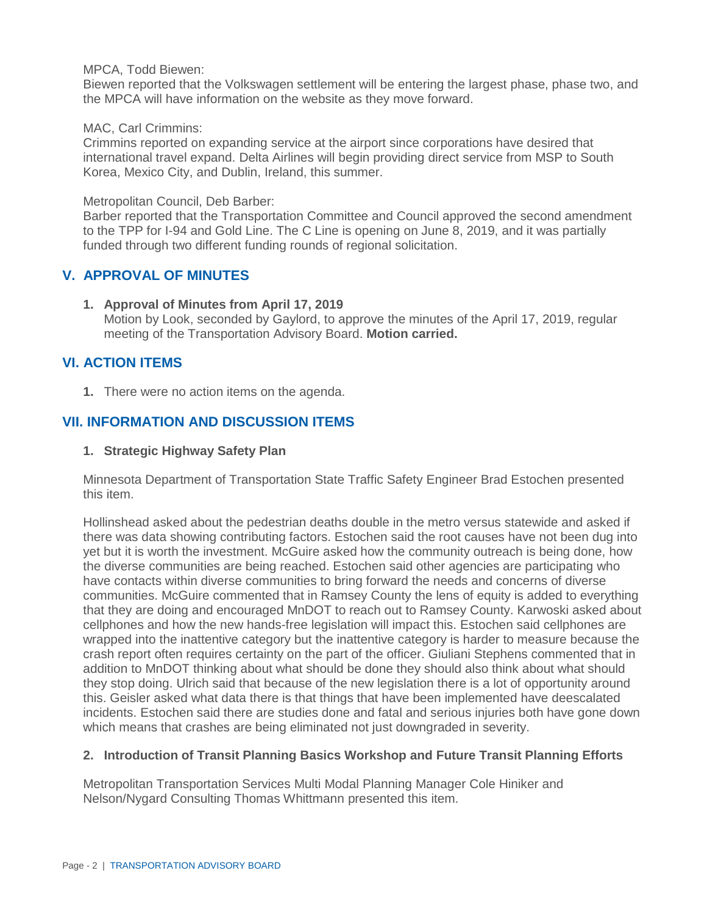#### MPCA, Todd Biewen:

Biewen reported that the Volkswagen settlement will be entering the largest phase, phase two, and the MPCA will have information on the website as they move forward.

### MAC, Carl Crimmins:

Crimmins reported on expanding service at the airport since corporations have desired that international travel expand. Delta Airlines will begin providing direct service from MSP to South Korea, Mexico City, and Dublin, Ireland, this summer.

#### Metropolitan Council, Deb Barber:

Barber reported that the Transportation Committee and Council approved the second amendment to the TPP for I-94 and Gold Line. The C Line is opening on June 8, 2019, and it was partially funded through two different funding rounds of regional solicitation.

# **V. APPROVAL OF MINUTES**

**1. Approval of Minutes from April 17, 2019** Motion by Look, seconded by Gaylord, to approve the minutes of the April 17, 2019, regular meeting of the Transportation Advisory Board. **Motion carried.**

# **VI. ACTION ITEMS**

**1.** There were no action items on the agenda.

# **VII. INFORMATION AND DISCUSSION ITEMS**

**1. Strategic Highway Safety Plan**

Minnesota Department of Transportation State Traffic Safety Engineer Brad Estochen presented this item.

Hollinshead asked about the pedestrian deaths double in the metro versus statewide and asked if there was data showing contributing factors. Estochen said the root causes have not been dug into yet but it is worth the investment. McGuire asked how the community outreach is being done, how the diverse communities are being reached. Estochen said other agencies are participating who have contacts within diverse communities to bring forward the needs and concerns of diverse communities. McGuire commented that in Ramsey County the lens of equity is added to everything that they are doing and encouraged MnDOT to reach out to Ramsey County. Karwoski asked about cellphones and how the new hands-free legislation will impact this. Estochen said cellphones are wrapped into the inattentive category but the inattentive category is harder to measure because the crash report often requires certainty on the part of the officer. Giuliani Stephens commented that in addition to MnDOT thinking about what should be done they should also think about what should they stop doing. Ulrich said that because of the new legislation there is a lot of opportunity around this. Geisler asked what data there is that things that have been implemented have deescalated incidents. Estochen said there are studies done and fatal and serious injuries both have gone down which means that crashes are being eliminated not just downgraded in severity.

### **2. Introduction of Transit Planning Basics Workshop and Future Transit Planning Efforts**

Metropolitan Transportation Services Multi Modal Planning Manager Cole Hiniker and Nelson/Nygard Consulting Thomas Whittmann presented this item.